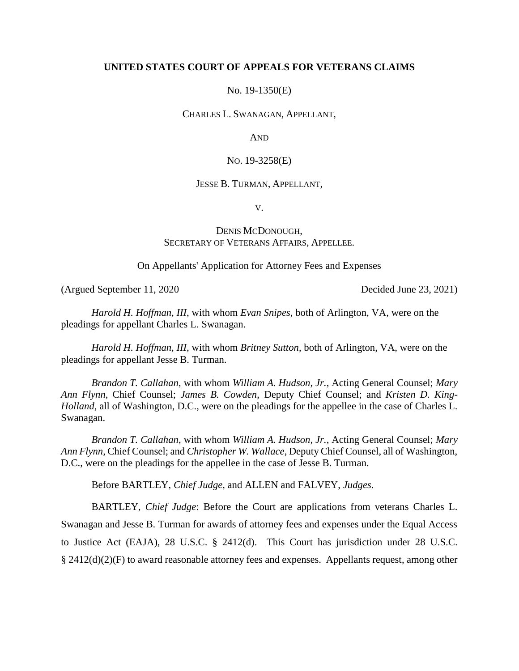## **UNITED STATES COURT OF APPEALS FOR VETERANS CLAIMS**

No. 19-1350(E)

CHARLES L. SWANAGAN, APPELLANT,

AND

NO. 19-3258(E)

### JESSE B. TURMAN, APPELLANT,

V.

# DENIS MCDONOUGH, SECRETARY OF VETERANS AFFAIRS, APPELLEE.

On Appellants' Application for Attorney Fees and Expenses

(Argued September 11, 2020 Decided June 23, 2021)

*Harold H. Hoffman, III*, with whom *Evan Snipes*, both of Arlington, VA, were on the pleadings for appellant Charles L. Swanagan.

*Harold H. Hoffman, III*, with whom *Britney Sutton*, both of Arlington, VA, were on the pleadings for appellant Jesse B. Turman.

*Brandon T. Callahan*, with whom *William A. Hudson, Jr.*, Acting General Counsel; *Mary Ann Flynn*, Chief Counsel; *James B. Cowden*, Deputy Chief Counsel; and *Kristen D. King-Holland*, all of Washington, D.C., were on the pleadings for the appellee in the case of Charles L. Swanagan.

*Brandon T. Callahan*, with whom *William A. Hudson, Jr.*, Acting General Counsel; *Mary Ann Flynn*, Chief Counsel; and *Christopher W. Wallace*, Deputy Chief Counsel, all of Washington, D.C., were on the pleadings for the appellee in the case of Jesse B. Turman.

Before BARTLEY, *Chief Judge*, and ALLEN and FALVEY, *Judges*.

BARTLEY, *Chief Judge*: Before the Court are applications from veterans Charles L. Swanagan and Jesse B. Turman for awards of attorney fees and expenses under the Equal Access to Justice Act (EAJA), 28 U.S.C. § 2412(d). This Court has jurisdiction under 28 U.S.C.  $\S 2412(d)(2)(F)$  to award reasonable attorney fees and expenses. Appellants request, among other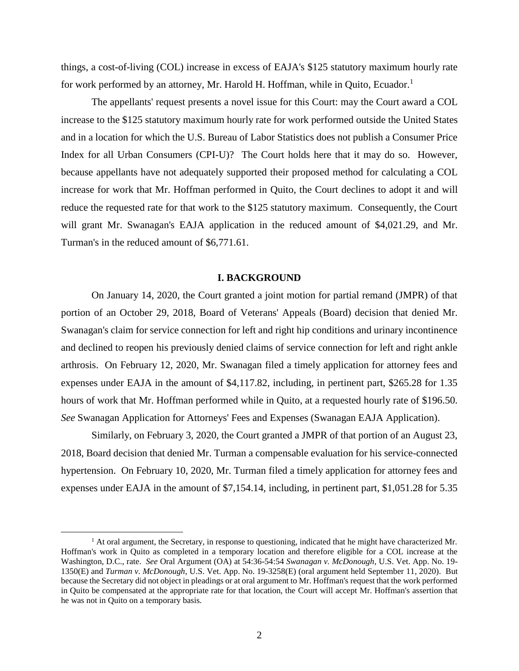things, a cost-of-living (COL) increase in excess of EAJA's \$125 statutory maximum hourly rate for work performed by an attorney, Mr. Harold H. Hoffman, while in Quito, Ecuador.<sup>1</sup>

The appellants' request presents a novel issue for this Court: may the Court award a COL increase to the \$125 statutory maximum hourly rate for work performed outside the United States and in a location for which the U.S. Bureau of Labor Statistics does not publish a Consumer Price Index for all Urban Consumers (CPI-U)? The Court holds here that it may do so. However, because appellants have not adequately supported their proposed method for calculating a COL increase for work that Mr. Hoffman performed in Quito, the Court declines to adopt it and will reduce the requested rate for that work to the \$125 statutory maximum. Consequently, the Court will grant Mr. Swanagan's EAJA application in the reduced amount of \$4,021.29, and Mr. Turman's in the reduced amount of \$6,771.61.

### **I. BACKGROUND**

On January 14, 2020, the Court granted a joint motion for partial remand (JMPR) of that portion of an October 29, 2018, Board of Veterans' Appeals (Board) decision that denied Mr. Swanagan's claim for service connection for left and right hip conditions and urinary incontinence and declined to reopen his previously denied claims of service connection for left and right ankle arthrosis. On February 12, 2020, Mr. Swanagan filed a timely application for attorney fees and expenses under EAJA in the amount of \$4,117.82, including, in pertinent part, \$265.28 for 1.35 hours of work that Mr. Hoffman performed while in Quito, at a requested hourly rate of \$196.50. *See* Swanagan Application for Attorneys' Fees and Expenses (Swanagan EAJA Application).

Similarly, on February 3, 2020, the Court granted a JMPR of that portion of an August 23, 2018, Board decision that denied Mr. Turman a compensable evaluation for his service-connected hypertension. On February 10, 2020, Mr. Turman filed a timely application for attorney fees and expenses under EAJA in the amount of \$7,154.14, including, in pertinent part, \$1,051.28 for 5.35

 $\overline{a}$ 

 $<sup>1</sup>$  At oral argument, the Secretary, in response to questioning, indicated that he might have characterized Mr.</sup> Hoffman's work in Quito as completed in a temporary location and therefore eligible for a COL increase at the Washington, D.C., rate. *See* Oral Argument (OA) at 54:36-54:54 *Swanagan v. McDonough*, U.S. Vet. App. No. 19- 1350(E) and *Turman v. McDonough*, U.S. Vet. App. No. 19-3258(E) (oral argument held September 11, 2020). But because the Secretary did not object in pleadings or at oral argument to Mr. Hoffman's request that the work performed in Quito be compensated at the appropriate rate for that location, the Court will accept Mr. Hoffman's assertion that he was not in Quito on a temporary basis.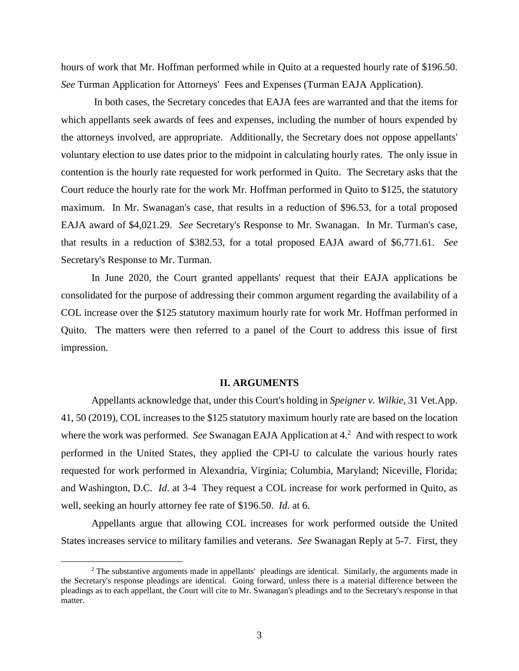hours of work that Mr. Hoffman performed while in Quito at a requested hourly rate of \$196.50. *See* Turman Application for Attorneys' Fees and Expenses (Turman EAJA Application).

In both cases, the Secretary concedes that EAJA fees are warranted and that the items for which appellants seek awards of fees and expenses, including the number of hours expended by the attorneys involved, are appropriate. Additionally, the Secretary does not oppose appellants' voluntary election to use dates prior to the midpoint in calculating hourly rates. The only issue in contention is the hourly rate requested for work performed in Quito. The Secretary asks that the Court reduce the hourly rate for the work Mr. Hoffman performed in Quito to \$125, the statutory maximum. In Mr. Swanagan's case, that results in a reduction of \$96.53, for a total proposed EAJA award of \$4,021.29. *See* Secretary's Response to Mr. Swanagan. In Mr. Turman's case, that results in a reduction of \$382.53, for a total proposed EAJA award of \$6,771.61. *See* Secretary's Response to Mr. Turman.

In June 2020, the Court granted appellants' request that their EAJA applications be consolidated for the purpose of addressing their common argument regarding the availability of a COL increase over the \$125 statutory maximum hourly rate for work Mr. Hoffman performed in Quito. The matters were then referred to a panel of the Court to address this issue of first impression.

### **II. ARGUMENTS**

Appellants acknowledge that, under this Court's holding in *Speigner v. Wilkie*, 31 Vet.App. 41, 50 (2019), COL increases to the \$125 statutory maximum hourly rate are based on the location where the work was performed. *See* Swanagan EAJA Application at 4.<sup>2</sup> And with respect to work performed in the United States, they applied the CPI-U to calculate the various hourly rates requested for work performed in Alexandria, Virginia; Columbia, Maryland; Niceville, Florida; and Washington, D.C. *Id*. at 3-4 They request a COL increase for work performed in Quito, as well, seeking an hourly attorney fee rate of \$196.50. *Id*. at 6.

Appellants argue that allowing COL increases for work performed outside the United States increases service to military families and veterans. *See* Swanagan Reply at 5-7. First, they

 $\overline{a}$ 

 $2$  The substantive arguments made in appellants' pleadings are identical. Similarly, the arguments made in the Secretary's response pleadings are identical. Going forward, unless there is a material difference between the pleadings as to each appellant, the Court will cite to Mr. Swanagan's pleadings and to the Secretary's response in that matter.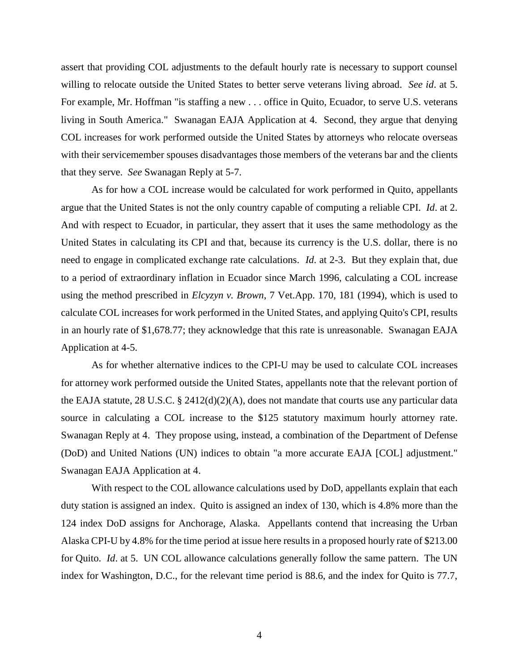assert that providing COL adjustments to the default hourly rate is necessary to support counsel willing to relocate outside the United States to better serve veterans living abroad. *See id*. at 5. For example, Mr. Hoffman "is staffing a new . . . office in Quito, Ecuador, to serve U.S. veterans living in South America." Swanagan EAJA Application at 4. Second, they argue that denying COL increases for work performed outside the United States by attorneys who relocate overseas with their servicemember spouses disadvantages those members of the veterans bar and the clients that they serve. *See* Swanagan Reply at 5-7.

As for how a COL increase would be calculated for work performed in Quito, appellants argue that the United States is not the only country capable of computing a reliable CPI. *Id*. at 2. And with respect to Ecuador, in particular, they assert that it uses the same methodology as the United States in calculating its CPI and that, because its currency is the U.S. dollar, there is no need to engage in complicated exchange rate calculations. *Id*. at 2-3. But they explain that, due to a period of extraordinary inflation in Ecuador since March 1996, calculating a COL increase using the method prescribed in *Elcyzyn v. Brown*, 7 Vet.App. 170, 181 (1994), which is used to calculate COL increases for work performed in the United States, and applying Quito's CPI, results in an hourly rate of \$1,678.77; they acknowledge that this rate is unreasonable. Swanagan EAJA Application at 4-5.

As for whether alternative indices to the CPI-U may be used to calculate COL increases for attorney work performed outside the United States, appellants note that the relevant portion of the EAJA statute, 28 U.S.C. § 2412(d)(2)(A), does not mandate that courts use any particular data source in calculating a COL increase to the \$125 statutory maximum hourly attorney rate. Swanagan Reply at 4. They propose using, instead, a combination of the Department of Defense (DoD) and United Nations (UN) indices to obtain "a more accurate EAJA [COL] adjustment." Swanagan EAJA Application at 4.

With respect to the COL allowance calculations used by DoD, appellants explain that each duty station is assigned an index. Quito is assigned an index of 130, which is 4.8% more than the 124 index DoD assigns for Anchorage, Alaska. Appellants contend that increasing the Urban Alaska CPI-U by 4.8% for the time period at issue here results in a proposed hourly rate of \$213.00 for Quito. *Id*. at 5. UN COL allowance calculations generally follow the same pattern. The UN index for Washington, D.C., for the relevant time period is 88.6, and the index for Quito is 77.7,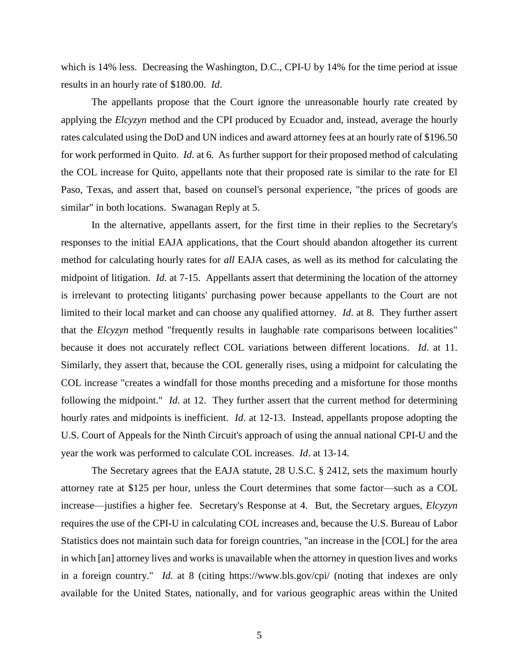which is 14% less. Decreasing the Washington, D.C., CPI-U by 14% for the time period at issue results in an hourly rate of \$180.00. *Id*.

The appellants propose that the Court ignore the unreasonable hourly rate created by applying the *Elcyzyn* method and the CPI produced by Ecuador and, instead, average the hourly rates calculated using the DoD and UN indices and award attorney fees at an hourly rate of \$196.50 for work performed in Quito. *Id*. at 6. As further support for their proposed method of calculating the COL increase for Quito, appellants note that their proposed rate is similar to the rate for El Paso, Texas, and assert that, based on counsel's personal experience, "the prices of goods are similar" in both locations. Swanagan Reply at 5.

In the alternative, appellants assert, for the first time in their replies to the Secretary's responses to the initial EAJA applications, that the Court should abandon altogether its current method for calculating hourly rates for *all* EAJA cases, as well as its method for calculating the midpoint of litigation. *Id*. at 7-15. Appellants assert that determining the location of the attorney is irrelevant to protecting litigants' purchasing power because appellants to the Court are not limited to their local market and can choose any qualified attorney. *Id*. at 8. They further assert that the *Elcyzyn* method "frequently results in laughable rate comparisons between localities" because it does not accurately reflect COL variations between different locations. *Id*. at 11. Similarly, they assert that, because the COL generally rises, using a midpoint for calculating the COL increase "creates a windfall for those months preceding and a misfortune for those months following the midpoint." *Id*. at 12. They further assert that the current method for determining hourly rates and midpoints is inefficient. *Id*. at 12-13. Instead, appellants propose adopting the U.S. Court of Appeals for the Ninth Circuit's approach of using the annual national CPI-U and the year the work was performed to calculate COL increases. *Id*. at 13-14.

The Secretary agrees that the EAJA statute, 28 U.S.C. § 2412, sets the maximum hourly attorney rate at \$125 per hour, unless the Court determines that some factor—such as a COL increase—justifies a higher fee. Secretary's Response at 4. But, the Secretary argues, *Elcyzyn* requires the use of the CPI-U in calculating COL increases and, because the U.S. Bureau of Labor Statistics does not maintain such data for foreign countries, "an increase in the [COL] for the area in which [an] attorney lives and works is unavailable when the attorney in question lives and works in a foreign country." *Id*. at 8 (citing https://www.bls.gov/cpi/ (noting that indexes are only available for the United States, nationally, and for various geographic areas within the United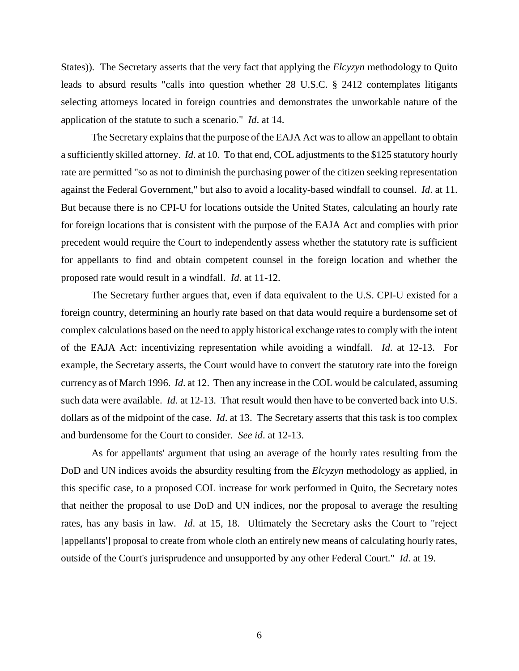States)). The Secretary asserts that the very fact that applying the *Elcyzyn* methodology to Quito leads to absurd results "calls into question whether 28 U.S.C. § 2412 contemplates litigants selecting attorneys located in foreign countries and demonstrates the unworkable nature of the application of the statute to such a scenario." *Id*. at 14.

The Secretary explains that the purpose of the EAJA Act was to allow an appellant to obtain a sufficiently skilled attorney. *Id*. at 10. To that end, COL adjustments to the \$125 statutory hourly rate are permitted "so as not to diminish the purchasing power of the citizen seeking representation against the Federal Government," but also to avoid a locality-based windfall to counsel. *Id*. at 11. But because there is no CPI-U for locations outside the United States, calculating an hourly rate for foreign locations that is consistent with the purpose of the EAJA Act and complies with prior precedent would require the Court to independently assess whether the statutory rate is sufficient for appellants to find and obtain competent counsel in the foreign location and whether the proposed rate would result in a windfall. *Id*. at 11-12.

The Secretary further argues that, even if data equivalent to the U.S. CPI-U existed for a foreign country, determining an hourly rate based on that data would require a burdensome set of complex calculations based on the need to apply historical exchange rates to comply with the intent of the EAJA Act: incentivizing representation while avoiding a windfall. *Id*. at 12-13. For example, the Secretary asserts, the Court would have to convert the statutory rate into the foreign currency as of March 1996. *Id*. at 12. Then any increase in the COL would be calculated, assuming such data were available. *Id*. at 12-13. That result would then have to be converted back into U.S. dollars as of the midpoint of the case. *Id*. at 13. The Secretary asserts that this task is too complex and burdensome for the Court to consider. *See id*. at 12-13.

As for appellants' argument that using an average of the hourly rates resulting from the DoD and UN indices avoids the absurdity resulting from the *Elcyzyn* methodology as applied, in this specific case, to a proposed COL increase for work performed in Quito, the Secretary notes that neither the proposal to use DoD and UN indices, nor the proposal to average the resulting rates, has any basis in law. *Id*. at 15, 18. Ultimately the Secretary asks the Court to "reject [appellants'] proposal to create from whole cloth an entirely new means of calculating hourly rates, outside of the Court's jurisprudence and unsupported by any other Federal Court." *Id*. at 19.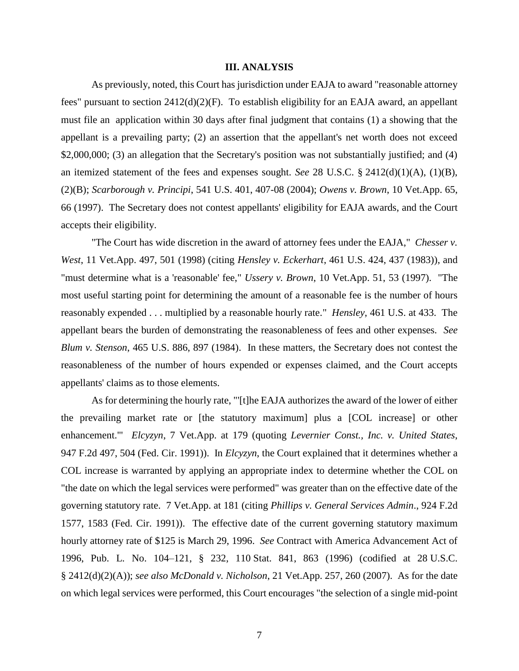### **III. ANALYSIS**

As previously, noted, this Court has jurisdiction under EAJA to award "reasonable attorney fees" pursuant to section 2412(d)(2)(F). To establish eligibility for an EAJA award, an appellant must file an application within 30 days after final judgment that contains (1) a showing that the appellant is a prevailing party; (2) an assertion that the appellant's net worth does not exceed \$2,000,000; (3) an allegation that the Secretary's position was not substantially justified; and (4) an itemized statement of the fees and expenses sought. *See* 28 U.S.C. § 2412(d)(1)(A), (1)(B), (2)(B); *Scarborough v. Principi*, 541 U.S. 401, 407-08 (2004); *Owens v. Brown*, 10 Vet.App. 65, 66 (1997). The Secretary does not contest appellants' eligibility for EAJA awards, and the Court accepts their eligibility.

"The Court has wide discretion in the award of attorney fees under the EAJA," *Chesser v. West*, 11 Vet.App. 497, 501 (1998) (citing *Hensley v. Eckerhart*, 461 U.S. 424, 437 (1983)), and "must determine what is a 'reasonable' fee," *Ussery v. Brown*, 10 Vet.App. 51, 53 (1997). "The most useful starting point for determining the amount of a reasonable fee is the number of hours reasonably expended . . . multiplied by a reasonable hourly rate." *Hensley*, 461 U.S. at 433. The appellant bears the burden of demonstrating the reasonableness of fees and other expenses. *See Blum v. Stenson*, 465 U.S. 886, 897 (1984). In these matters, the Secretary does not contest the reasonableness of the number of hours expended or expenses claimed, and the Court accepts appellants' claims as to those elements.

As for determining the hourly rate, "'[t]he EAJA authorizes the award of the lower of either the prevailing market rate or [the statutory maximum] plus a [COL increase] or other enhancement.'" *Elcyzyn*, 7 Vet.App. at 179 (quoting *Levernier Const., Inc. v. United States*, 947 F.2d 497, 504 (Fed. Cir. 1991)). In *Elcyzyn*, the Court explained that it determines whether a COL increase is warranted by applying an appropriate index to determine whether the COL on "the date on which the legal services were performed" was greater than on the effective date of the governing statutory rate. 7 Vet.App. at 181 (citing *Phillips v. General Services Admin*., 924 F.2d 1577, 1583 (Fed. Cir. 1991)). The effective date of the current governing statutory maximum hourly attorney rate of \$125 is March 29, 1996. *See* Contract with America Advancement Act of 1996, Pub. L. No. 104–121, § 232, 110 Stat. 841, 863 (1996) (codified at 28 U.S.C. § 2412(d)(2)(A)); *see also McDonald v. Nicholson*, 21 Vet.App. 257, 260 (2007). As for the date on which legal services were performed, this Court encourages "the selection of a single mid-point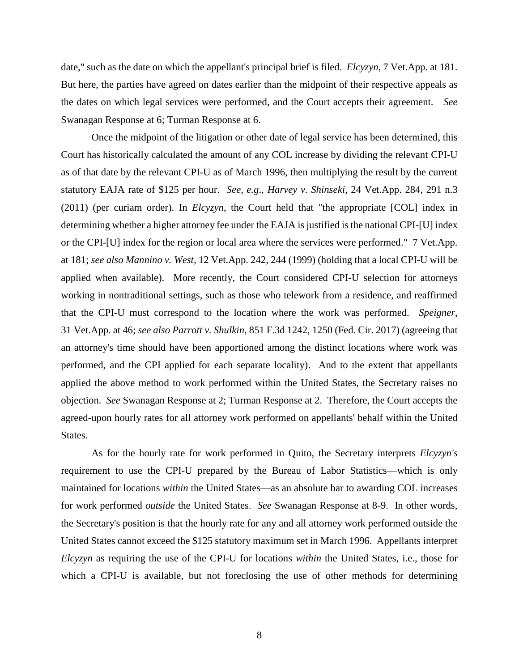date," such as the date on which the appellant's principal brief is filed. *Elcyzyn*, 7 Vet.App. at 181. But here, the parties have agreed on dates earlier than the midpoint of their respective appeals as the dates on which legal services were performed, and the Court accepts their agreement. *See* Swanagan Response at 6; Turman Response at 6.

Once the midpoint of the litigation or other date of legal service has been determined, this Court has historically calculated the amount of any COL increase by dividing the relevant CPI-U as of that date by the relevant CPI-U as of March 1996, then multiplying the result by the current statutory EAJA rate of \$125 per hour. *See*, *e.g*., *Harvey v. Shinseki*, 24 Vet.App. 284, 291 n.3 (2011) (per curiam order). In *Elcyzyn*, the Court held that "the appropriate [COL] index in determining whether a higher attorney fee under the EAJA is justified is the national CPI-[U] index or the CPI-[U] index for the region or local area where the services were performed." 7 Vet.App. at 181; *see also Mannino v. West*, 12 Vet.App. 242, 244 (1999) (holding that a local CPI-U will be applied when available). More recently, the Court considered CPI-U selection for attorneys working in nontraditional settings, such as those who telework from a residence, and reaffirmed that the CPI-U must correspond to the location where the work was performed. *Speigner*, 31 Vet.App. at 46; *see also Parrott v. Shulkin*, 851 F.3d 1242, 1250 (Fed. Cir. 2017) (agreeing that an attorney's time should have been apportioned among the distinct locations where work was performed, and the CPI applied for each separate locality). And to the extent that appellants applied the above method to work performed within the United States, the Secretary raises no objection. *See* Swanagan Response at 2; Turman Response at 2. Therefore, the Court accepts the agreed-upon hourly rates for all attorney work performed on appellants' behalf within the United States.

As for the hourly rate for work performed in Quito, the Secretary interprets *Elcyzyn's* requirement to use the CPI-U prepared by the Bureau of Labor Statistics—which is only maintained for locations *within* the United States—as an absolute bar to awarding COL increases for work performed *outside* the United States. *See* Swanagan Response at 8-9. In other words, the Secretary's position is that the hourly rate for any and all attorney work performed outside the United States cannot exceed the \$125 statutory maximum set in March 1996. Appellants interpret *Elcyzyn* as requiring the use of the CPI-U for locations *within* the United States, i.e., those for which a CPI-U is available, but not foreclosing the use of other methods for determining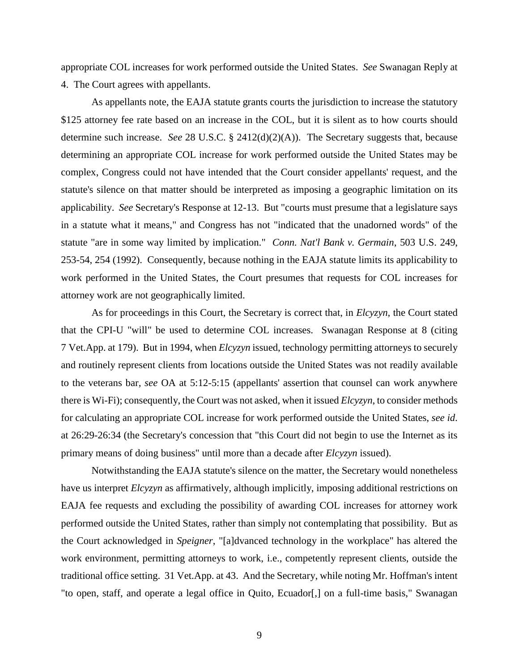appropriate COL increases for work performed outside the United States. *See* Swanagan Reply at 4. The Court agrees with appellants.

As appellants note, the EAJA statute grants courts the jurisdiction to increase the statutory \$125 attorney fee rate based on an increase in the COL, but it is silent as to how courts should determine such increase. *See* 28 U.S.C. § 2412(d)(2)(A)). The Secretary suggests that, because determining an appropriate COL increase for work performed outside the United States may be complex, Congress could not have intended that the Court consider appellants' request, and the statute's silence on that matter should be interpreted as imposing a geographic limitation on its applicability. *See* Secretary's Response at 12-13. But "courts must presume that a legislature says in a statute what it means," and Congress has not "indicated that the unadorned words" of the statute "are in some way limited by implication." *Conn. Nat'l Bank v. Germain*, 503 U.S. 249, 253-54, 254 (1992). Consequently, because nothing in the EAJA statute limits its applicability to work performed in the United States, the Court presumes that requests for COL increases for attorney work are not geographically limited.

As for proceedings in this Court, the Secretary is correct that, in *Elcyzyn*, the Court stated that the CPI-U "will" be used to determine COL increases. Swanagan Response at 8 (citing 7 Vet.App. at 179). But in 1994, when *Elcyzyn* issued, technology permitting attorneys to securely and routinely represent clients from locations outside the United States was not readily available to the veterans bar, *see* OA at 5:12-5:15 (appellants' assertion that counsel can work anywhere there is Wi-Fi); consequently, the Court was not asked, when it issued *Elcyzyn*, to consider methods for calculating an appropriate COL increase for work performed outside the United States, *see id*. at 26:29-26:34 (the Secretary's concession that "this Court did not begin to use the Internet as its primary means of doing business" until more than a decade after *Elcyzyn* issued).

Notwithstanding the EAJA statute's silence on the matter, the Secretary would nonetheless have us interpret *Elcyzyn* as affirmatively, although implicitly, imposing additional restrictions on EAJA fee requests and excluding the possibility of awarding COL increases for attorney work performed outside the United States, rather than simply not contemplating that possibility. But as the Court acknowledged in *Speigner*, "[a]dvanced technology in the workplace" has altered the work environment, permitting attorneys to work, i.e., competently represent clients, outside the traditional office setting. 31 Vet.App. at 43. And the Secretary, while noting Mr. Hoffman's intent "to open, staff, and operate a legal office in Quito, Ecuador[,] on a full-time basis," Swanagan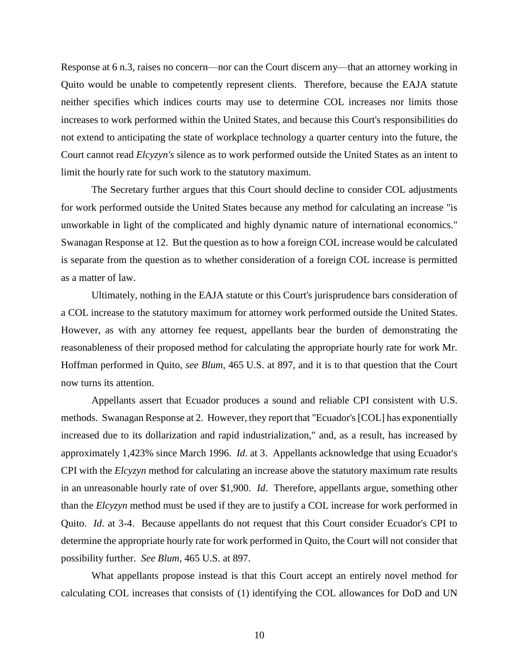Response at 6 n.3, raises no concern—nor can the Court discern any—that an attorney working in Quito would be unable to competently represent clients. Therefore, because the EAJA statute neither specifies which indices courts may use to determine COL increases nor limits those increases to work performed within the United States, and because this Court's responsibilities do not extend to anticipating the state of workplace technology a quarter century into the future, the Court cannot read *Elcyzyn's* silence as to work performed outside the United States as an intent to limit the hourly rate for such work to the statutory maximum.

The Secretary further argues that this Court should decline to consider COL adjustments for work performed outside the United States because any method for calculating an increase "is unworkable in light of the complicated and highly dynamic nature of international economics." Swanagan Response at 12. But the question as to how a foreign COL increase would be calculated is separate from the question as to whether consideration of a foreign COL increase is permitted as a matter of law.

Ultimately, nothing in the EAJA statute or this Court's jurisprudence bars consideration of a COL increase to the statutory maximum for attorney work performed outside the United States. However, as with any attorney fee request, appellants bear the burden of demonstrating the reasonableness of their proposed method for calculating the appropriate hourly rate for work Mr. Hoffman performed in Quito, *see Blum*, 465 U.S. at 897, and it is to that question that the Court now turns its attention.

Appellants assert that Ecuador produces a sound and reliable CPI consistent with U.S. methods. Swanagan Response at 2. However, they report that "Ecuador's [COL] has exponentially increased due to its dollarization and rapid industrialization," and, as a result, has increased by approximately 1,423% since March 1996. *Id*. at 3. Appellants acknowledge that using Ecuador's CPI with the *Elcyzyn* method for calculating an increase above the statutory maximum rate results in an unreasonable hourly rate of over \$1,900. *Id*. Therefore, appellants argue, something other than the *Elcyzyn* method must be used if they are to justify a COL increase for work performed in Quito. *Id*. at 3-4. Because appellants do not request that this Court consider Ecuador's CPI to determine the appropriate hourly rate for work performed in Quito, the Court will not consider that possibility further. *See Blum*, 465 U.S. at 897.

What appellants propose instead is that this Court accept an entirely novel method for calculating COL increases that consists of (1) identifying the COL allowances for DoD and UN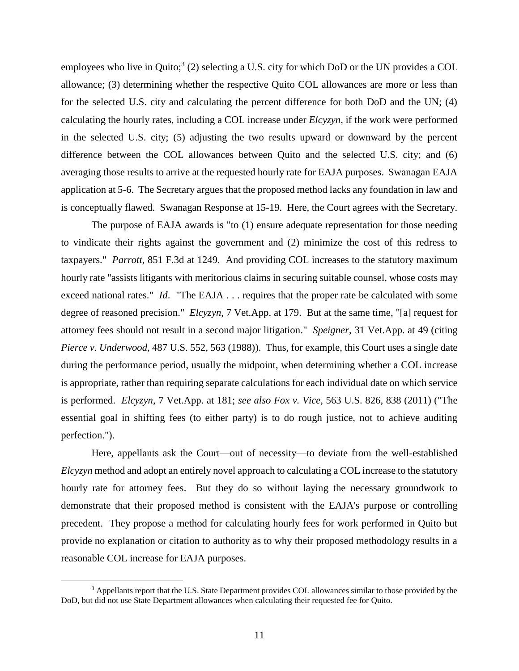employees who live in Quito;<sup>3</sup> (2) selecting a U.S. city for which DoD or the UN provides a COL allowance; (3) determining whether the respective Quito COL allowances are more or less than for the selected U.S. city and calculating the percent difference for both DoD and the UN; (4) calculating the hourly rates, including a COL increase under *Elcyzyn*, if the work were performed in the selected U.S. city; (5) adjusting the two results upward or downward by the percent difference between the COL allowances between Quito and the selected U.S. city; and (6) averaging those results to arrive at the requested hourly rate for EAJA purposes. Swanagan EAJA application at 5-6. The Secretary argues that the proposed method lacks any foundation in law and is conceptually flawed. Swanagan Response at 15-19. Here, the Court agrees with the Secretary.

The purpose of EAJA awards is "to (1) ensure adequate representation for those needing to vindicate their rights against the government and (2) minimize the cost of this redress to taxpayers." *Parrott*, 851 F.3d at 1249. And providing COL increases to the statutory maximum hourly rate "assists litigants with meritorious claims in securing suitable counsel, whose costs may exceed national rates." *Id*. "The EAJA . . . requires that the proper rate be calculated with some degree of reasoned precision." *Elcyzyn*, 7 Vet.App. at 179. But at the same time, "[a] request for attorney fees should not result in a second major litigation." *Speigner*, 31 Vet.App. at 49 (citing *Pierce v. Underwood*, 487 U.S. 552, 563 (1988)). Thus, for example, this Court uses a single date during the performance period, usually the midpoint, when determining whether a COL increase is appropriate, rather than requiring separate calculations for each individual date on which service is performed. *Elcyzyn*, 7 Vet.App. at 181; *see also Fox v. Vice*, 563 U.S. 826, 838 (2011) ("The essential goal in shifting fees (to either party) is to do rough justice, not to achieve auditing perfection.").

Here, appellants ask the Court—out of necessity—to deviate from the well-established *Elcyzyn* method and adopt an entirely novel approach to calculating a COL increase to the statutory hourly rate for attorney fees. But they do so without laying the necessary groundwork to demonstrate that their proposed method is consistent with the EAJA's purpose or controlling precedent. They propose a method for calculating hourly fees for work performed in Quito but provide no explanation or citation to authority as to why their proposed methodology results in a reasonable COL increase for EAJA purposes.

 $\overline{a}$ 

<sup>&</sup>lt;sup>3</sup> Appellants report that the U.S. State Department provides COL allowances similar to those provided by the DoD, but did not use State Department allowances when calculating their requested fee for Quito.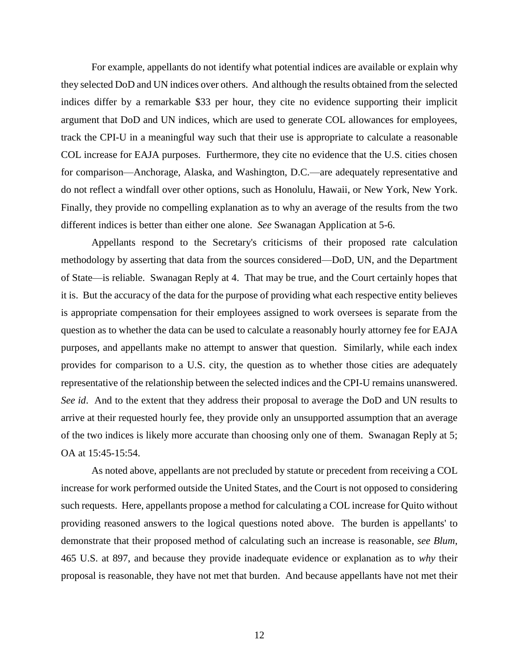For example, appellants do not identify what potential indices are available or explain why they selected DoD and UN indices over others. And although the results obtained from the selected indices differ by a remarkable \$33 per hour, they cite no evidence supporting their implicit argument that DoD and UN indices, which are used to generate COL allowances for employees, track the CPI-U in a meaningful way such that their use is appropriate to calculate a reasonable COL increase for EAJA purposes. Furthermore, they cite no evidence that the U.S. cities chosen for comparison—Anchorage, Alaska, and Washington, D.C.—are adequately representative and do not reflect a windfall over other options, such as Honolulu, Hawaii, or New York, New York. Finally, they provide no compelling explanation as to why an average of the results from the two different indices is better than either one alone. *See* Swanagan Application at 5-6.

Appellants respond to the Secretary's criticisms of their proposed rate calculation methodology by asserting that data from the sources considered—DoD, UN, and the Department of State—is reliable. Swanagan Reply at 4. That may be true, and the Court certainly hopes that it is. But the accuracy of the data for the purpose of providing what each respective entity believes is appropriate compensation for their employees assigned to work oversees is separate from the question as to whether the data can be used to calculate a reasonably hourly attorney fee for EAJA purposes, and appellants make no attempt to answer that question. Similarly, while each index provides for comparison to a U.S. city, the question as to whether those cities are adequately representative of the relationship between the selected indices and the CPI-U remains unanswered. *See id*. And to the extent that they address their proposal to average the DoD and UN results to arrive at their requested hourly fee, they provide only an unsupported assumption that an average of the two indices is likely more accurate than choosing only one of them. Swanagan Reply at 5; OA at 15:45-15:54.

As noted above, appellants are not precluded by statute or precedent from receiving a COL increase for work performed outside the United States, and the Court is not opposed to considering such requests. Here, appellants propose a method for calculating a COL increase for Quito without providing reasoned answers to the logical questions noted above. The burden is appellants' to demonstrate that their proposed method of calculating such an increase is reasonable, *see Blum*, 465 U.S. at 897, and because they provide inadequate evidence or explanation as to *why* their proposal is reasonable, they have not met that burden. And because appellants have not met their